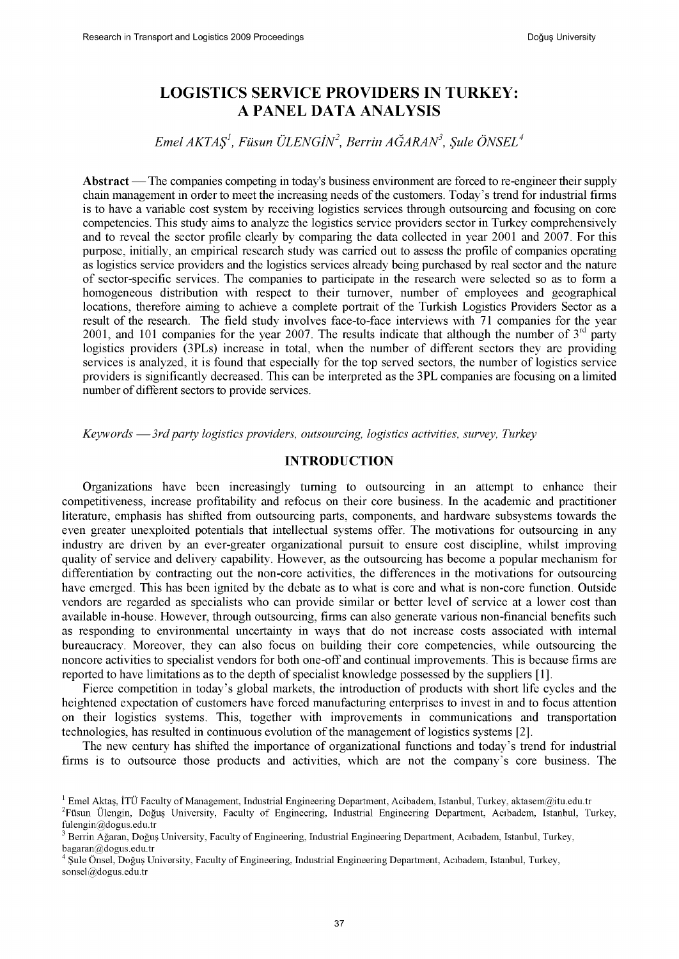# **LOGISTICS SERVICE PROVIDERS IN TURKEY: A PANEL DATA ANALYSIS**

*E m elA K T A Ş 1, Füsun Ü LENG ÎN2, B errin A Ğ A R A N 3, Şule Ö N SEL4*

Abstract — The companies competing in today's business environment are forced to re-engineer their supply chain management in order to meet the increasing needs of the customers. Today's trend for industrial firms is to have a variable cost system by receiving logistics services through outsourcing and focusing on core competencies. This study aims to analyze the logistics service providers sector in Turkey comprehensively and to reveal the sector profile clearly by comparing the data collected in year 2001 and 2007. For this purpose, initially, an empirical research study was carried out to assess the profile of companies operating as logistics service providers and the logistics services already being purchased by real sector and the nature of sector-specific services. The companies to participate in the research were selected so as to form a homogeneous distribution with respect to their turnover, number of employees and geographical locations, therefore aiming to achieve a complete portrait of the Turkish Logistics Providers Sector as a result of the research. The field study involves face-to-face interviews with 71 companies for the year 2001, and 101 companies for the year 2007. The results indicate that although the number of  $3<sup>rd</sup>$  party logistics providers (3PLs) increase in total, when the number of different sectors they are providing services is analyzed, it is found that especially for the top served sectors, the number of logistics service providers is significantly decreased. This can be interpreted as the 3PL companies are focusing on a limited number of different sectors to provide services.

*Keywords* — *3rd party logistics providers, outsourcing, logistics activities, survey, Turkey*

# **INTRODUCTION**

Organizations have been increasingly turning to outsourcing in an attempt to enhance their competitiveness, increase profitability and refocus on their core business. In the academic and practitioner literature, emphasis has shifted from outsourcing parts, components, and hardware subsystems towards the even greater unexploited potentials that intellectual systems offer. The motivations for outsourcing in any industry are driven by an ever-greater organizational pursuit to ensure cost discipline, whilst improving quality of service and delivery capability. However, as the outsourcing has become a popular mechanism for differentiation by contracting out the non-core activities, the differences in the motivations for outsourcing have emerged. This has been ignited by the debate as to what is core and what is non-core function. Outside vendors are regarded as specialists who can provide similar or better level of service at a lower cost than available in-house. However, through outsourcing, firms can also generate various non-financial benefits such as responding to environmental uncertainty in ways that do not increase costs associated with internal bureaucracy. Moreover, they can also focus on building their core competencies, while outsourcing the noncore activities to specialist vendors for both one-off and continual improvements. This is because firms are reported to have limitations as to the depth of specialist knowledge possessed by the suppliers [1].

Fierce competition in today's global markets, the introduction of products with short life cycles and the heightened expectation of customers have forced manufacturing enterprises to invest in and to focus attention on their logistics systems. This, together with improvements in communications and transportation technologies, has resulted in continuous evolution of the management of logistics systems [2].

The new century has shifted the importance of organizational functions and today's trend for industrial firms is to outsource those products and activities, which are not the company's core business. The

 $1$  Emel Aktaş, İTÜ Faculty of Management, Industrial Engineering Department, Acibadem, Istanbul, Turkey, [aktasem@itu.edu.tr](mailto:aktasem@itu.edu.tr) 2Füsun Ülengin, Doğuş University, Faculty of Engineering, Industrial Engineering Department, Acıbadem, Istanbul, Turkey, [fulengin@dogus.edu.tr](mailto:fulengin@dogus.edu.tr)

<sup>3</sup> Berrin Ağaran, Doğuş University, Faculty of Engineering, Industrial Engineering Department, Acıbadem, Istanbul, Turkey, [bagaran@dogus.edu.tr](mailto:bagaran@dogus.edu.tr)

<sup>4</sup> Şule Önsel, Doğuş University, Faculty of Engineering, Industrial Engineering Department, Acıbadem, Istanbul, Turkey, [sonsel@dogus.edu.tr](mailto:sonsel@dogus.edu.tr)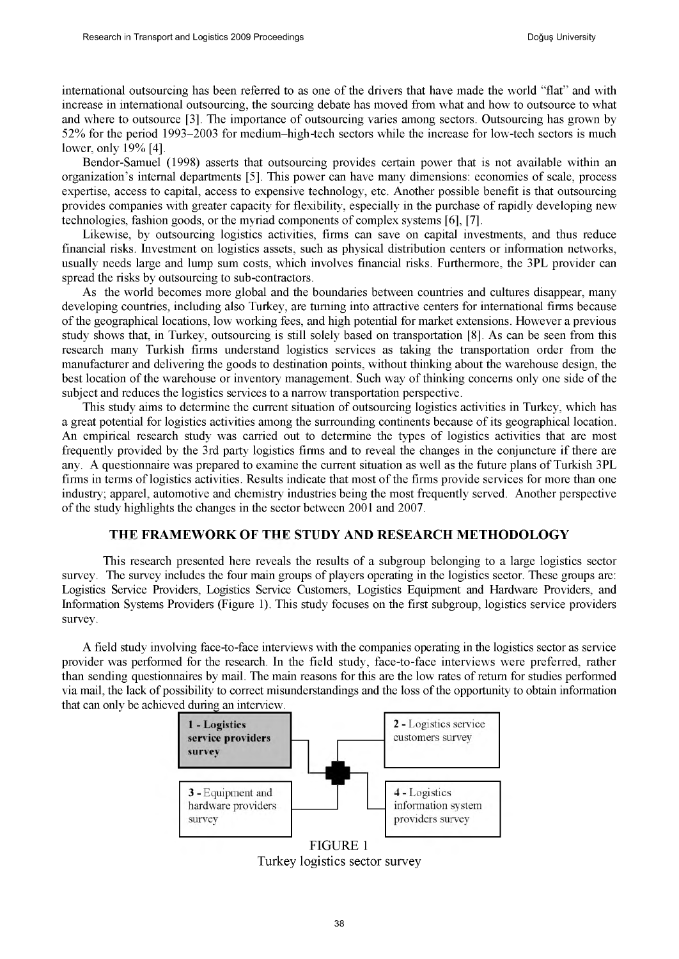international outsourcing has been referred to as one of the drivers that have made the world "flat" and with increase in international outsourcing, the sourcing debate has moved from what and how to outsource to what and where to outsource [3]. The importance of outsourcing varies among sectors. Outsourcing has grown by 52% for the period 1993-2003 for medium-high-tech sectors while the increase for low-tech sectors is much lower, only 19% [4].

Bendor-Samuel (1998) asserts that outsourcing provides certain power that is not available within an organization's internal departments [5]. This power can have many dimensions: economies of scale, process expertise, access to capital, access to expensive technology, etc. Another possible benefit is that outsourcing provides companies with greater capacity for flexibility, especially in the purchase of rapidly developing new technologies, fashion goods, or the myriad components of complex systems [6], [7].

Likewise, by outsourcing logistics activities, firms can save on capital investments, and thus reduce financial risks. Investment on logistics assets, such as physical distribution centers or information networks, usually needs large and lump sum costs, which involves financial risks. Furthermore, the 3PL provider can spread the risks by outsourcing to sub-contractors.

As the world becomes more global and the boundaries between countries and cultures disappear, many developing countries, including also Turkey, are turning into attractive centers for international firms because of the geographical locations, low working fees, and high potential for market extensions. However a previous study shows that, in Turkey, outsourcing is still solely based on transportation [8]. As can be seen from this research many Turkish firms understand logistics services as taking the transportation order from the manufacturer and delivering the goods to destination points, without thinking about the warehouse design, the best location of the warehouse or inventory management. Such way of thinking concerns only one side of the subject and reduces the logistics services to a narrow transportation perspective.

This study aims to determine the current situation of outsourcing logistics activities in Turkey, which has a great potential for logistics activities among the surrounding continents because of its geographical location. An empirical research study was carried out to determine the types of logistics activities that are most frequently provided by the 3rd party logistics firms and to reveal the changes in the conjuncture if there are any. A questionnaire was prepared to examine the current situation as well as the future plans of Turkish 3PL firms in terms of logistics activities. Results indicate that most of the firms provide services for more than one industry; apparel, automotive and chemistry industries being the most frequently served. Another perspective of the study highlights the changes in the sector between 2001 and 2007.

### THE FRAMEWORK OF THE STUDY AND RESEARCH METHODOLOGY

This research presented here reveals the results of a subgroup belonging to a large logistics sector survey. The survey includes the four main groups of players operating in the logistics sector. These groups are: Logistics Service Providers, Logistics Service Customers, Logistics Equipment and Hardware Providers, and Information Systems Providers (Figure 1). This study focuses on the first subgroup, logistics service providers survey.

A field study involving face-to-face interviews with the companies operating in the logistics sector as service provider was performed for the research. In the field study, face-to-face interviews were preferred, rather than sending questionnaires by mail. The main reasons for this are the low rates of return for studies performed via mail, the lack of possibility to correct misunderstandings and the loss of the opportunity to obtain information that can only be achieved during an interview.



**FIGURE 1** Turkey logistics sector survey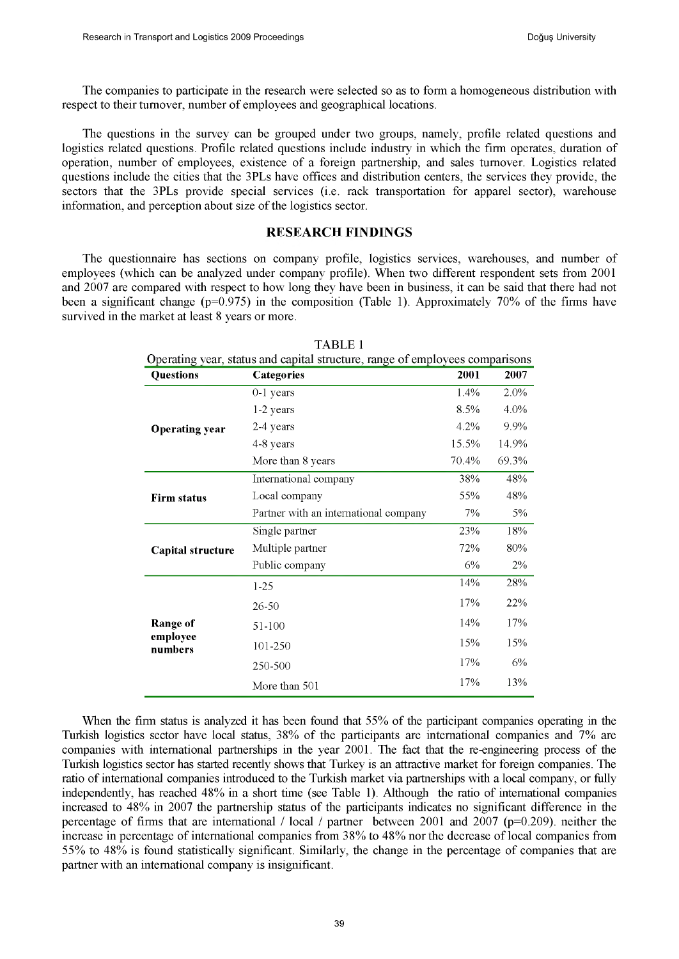The companies to participate in the research were selected so as to form a homogeneous distribution with respect to their turnover, number of employees and geographical locations.

The questions in the survey can be grouped under two groups, namely, profile related questions and logistics related questions. Profile related questions include industry in which the firm operates, duration of operation, number of employees, existence of a foreign partnership, and sales turnover. Logistics related questions include the cities that the 3PLs have offices and distribution centers, the services they provide, the sectors that the 3PLs provide special services (i.e. rack transportation for apparel sector), warehouse information, and perception about size of the logistics sector.

# RESEARCH FINDINGS

The questionnaire has sections on company profile, logistics services, warehouses, and number of employees (which can be analyzed under company profile). When two different respondent sets from 2001 and 2007 are compared with respect to how long they have been in business, it can be said that there had not been a significant change (p=0.975) in the composition (Table 1). Approximately 70% of the firms have survived in the market at least 8 years or more.

| Operating year, status and capital structure, range of employees comparisons |                                       |       |       |  |
|------------------------------------------------------------------------------|---------------------------------------|-------|-------|--|
| <b>Questions</b>                                                             | Categories                            | 2001  | 2007  |  |
|                                                                              | $0-1$ years                           | 1.4%  | 2.0%  |  |
|                                                                              | 1-2 years                             | 8.5%  | 4.0%  |  |
| <b>Operating year</b>                                                        | 2-4 years                             | 4.2%  | 9.9%  |  |
|                                                                              | 4-8 years                             | 15.5% | 14.9% |  |
|                                                                              | More than 8 years                     | 70.4% | 69.3% |  |
|                                                                              | International company                 | 38%   | 48%   |  |
| <b>Firm status</b>                                                           | Local company                         | 55%   | 48%   |  |
|                                                                              | Partner with an international company | 7%    | 5%    |  |
|                                                                              | Single partner                        | 23%   | 18%   |  |
| Capital structure                                                            | Multiple partner                      | 72%   | 80%   |  |
|                                                                              | Public company                        | 6%    | $2\%$ |  |
|                                                                              | $1 - 25$                              | 14%   | 28%   |  |
| <b>Range of</b><br>employee<br>numbers                                       | $26 - 50$                             | 17%   | 22%   |  |
|                                                                              | 51-100                                | 14%   | 17%   |  |
|                                                                              | 101-250                               | 15%   | 15%   |  |
|                                                                              | 250-500                               | 17%   | 6%    |  |
|                                                                              | More than 501                         | 17%   | 13%   |  |

TABLE 1

When the firm status is analyzed it has been found that 55% of the participant companies operating in the Turkish logistics sector have local status, 38% of the participants are international companies and 7% are companies with international partnerships in the year 2001. The fact that the re-engineering process of the Turkish logistics sector has started recently shows that Turkey is an attractive market for foreign companies. The ratio of international companies introduced to the Turkish market via partnerships with a local company, or fully independently, has reached 48% in a short time (see Table 1). Although the ratio of international companies increased to 48% in 2007 the partnership status of the participants indicates no significant difference in the percentage of firms that are international / local / partner between 2001 and 2007 (p=0.209). neither the increase in percentage of international companies from 38% to 48% nor the decrease of local companies from 55% to 48% is found statistically significant. Similarly, the change in the percentage of companies that are partner with an international company is insignificant.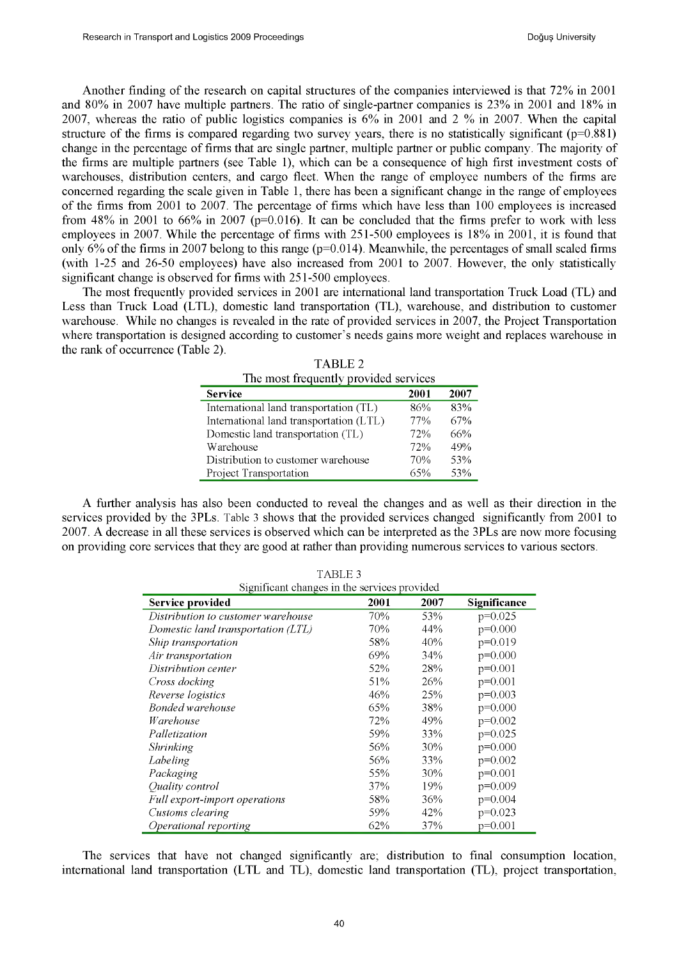Another finding of the research on capital structures of the companies interviewed is that 72% in 2001 and 80% in 2007 have multiple partners. The ratio of single-partner companies is 23% in 2001 and 18% in 2007, whereas the ratio of public logistics companies is 6% in 2001 and 2 % in 2007. When the capital structure of the firms is compared regarding two survey years, there is no statistically significant  $(p=0.881)$ change in the percentage of firms that are single partner, multiple partner or public company. The majority of the firms are multiple partners (see Table 1), which can be a consequence of high first investment costs of warehouses, distribution centers, and cargo fleet. When the range of employee numbers of the firms are concerned regarding the scale given in Table 1, there has been a significant change in the range of employees of the firms from 2001 to 2007. The percentage of firms which have less than 100 employees is increased from 48% in 2001 to 66% in 2007 ( $p=0.016$ ). It can be concluded that the firms prefer to work with less employees in 2007. While the percentage of firms with 251-500 employees is 18% in 2001, it is found that only 6% of the firms in 2007 belong to this range (p=0.014). Meanwhile, the percentages of small scaled firms (with 1-25 and 26-50 employees) have also increased from 2001 to 2007. However, the only statistically significant change is observed for firms with 251-500 employees.

The most frequently provided services in 2001 are international land transportation Truck Load (TL) and Less than Truck Load (LTL), domestic land transportation (TL), warehouse, and distribution to customer warehouse. While no changes is revealed in the rate of provided services in 2007, the Project Transportation where transportation is designed according to customer's needs gains more weight and replaces warehouse in the rank of occurrence (Table 2).

| The most frequently provided services   |      |      |  |
|-----------------------------------------|------|------|--|
| <b>Service</b>                          | 2001 | 2007 |  |
| International land transportation (TL)  | 86%  | 83%  |  |
| International land transportation (LTL) | 77%  | 67%  |  |
| Domestic land transportation (TL)       | 72%  | 66%  |  |
| Warehouse                               | 72%  | 49%  |  |
| Distribution to customer warehouse      | 70%  | 53%  |  |
| Project Transportation                  | 65%  | 53%  |  |

TABLE 2

A further analysis has also been conducted to reveal the changes and as well as their direction in the services provided by the 3PLs. Table 3 shows that the provided services changed significantly from 2001 to 2007. A decrease in all these services is observed which can be interpreted as the 3PLs are now more focusing on providing core services that they are good at rather than providing numerous services to various sectors.

TABLE 3

| Significant changes in the services provided |      |      |              |
|----------------------------------------------|------|------|--------------|
| <b>Service provided</b>                      | 2001 | 2007 | Significance |
| Distribution to customer warehouse           | 70%  | 53%  | $p=0.025$    |
| Domestic land transportation (LTL)           | 70%  | 44%  | $p=0.000$    |
| Ship transportation                          | 58%  | 40%  | $p=0.019$    |
| Air transportation                           | 69%  | 34%  | $p=0.000$    |
| Distribution center                          | 52%  | 28%  | $p=0.001$    |
| Cross docking                                | 51%  | 26%  | $p=0.001$    |
| Reverse logistics                            | 46%  | 25%  | $p=0.003$    |
| Bonded warehouse                             | 65%  | 38%  | $p=0.000$    |
| Warehouse                                    | 72%  | 49%  | $p=0.002$    |
| Palletization                                | 59%  | 33%  | $p=0.025$    |
| Shrinking                                    | 56%  | 30%  | $p=0.000$    |
| Labeling                                     | 56%  | 33%  | $p=0.002$    |
| Packaging                                    | 55%  | 30%  | $p=0.001$    |
| Quality control                              | 37%  | 19%  | $p=0.009$    |
| Full export-import operations                | 58%  | 36%  | $p=0.004$    |
| Customs clearing                             | 59%  | 42%  | $p=0.023$    |
| <i>Operational reporting</i>                 | 62%  | 37%  | $p=0.001$    |

The services that have not changed significantly are; distribution to final consumption location, international land transportation (LTL and TL), domestic land transportation (TL), project transportation,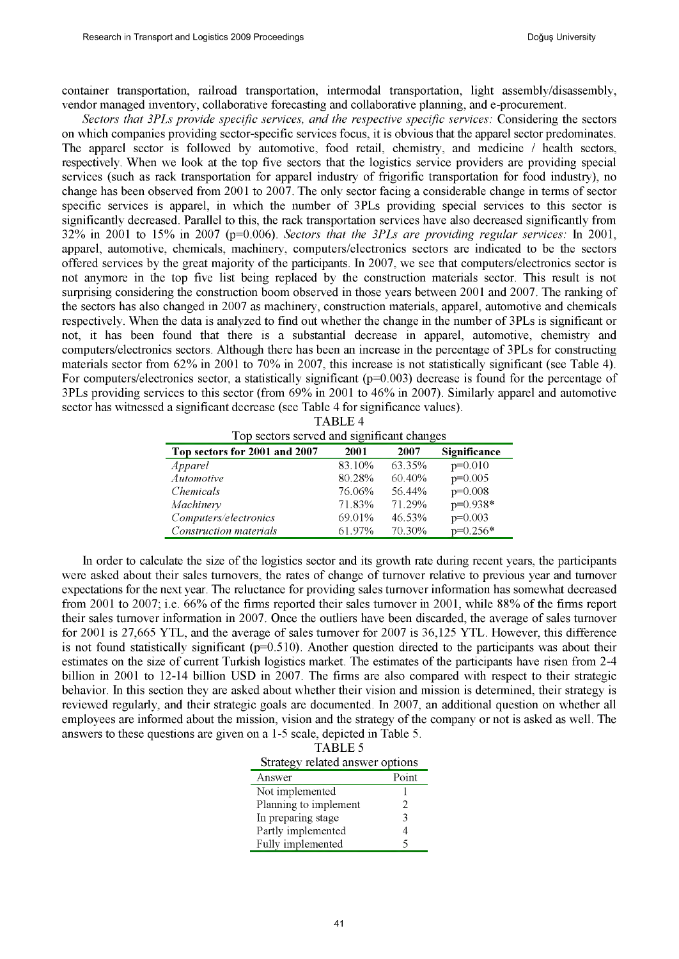container transportation, railroad transportation, intermodal transportation, light assembly/disassembly, vendor managed inventory, collaborative forecasting and collaborative planning, and e-procurement.

*Sectors that 3PLs provide specific services, and the respective specific services:* Considering the sectors on which companies providing sector-specific services focus, it is obvious that the apparel sector predominates. The apparel sector is followed by automotive, food retail, chemistry, and medicine / health sectors, respectively. When we look at the top five sectors that the logistics service providers are providing special services (such as rack transportation for apparel industry of frigorific transportation for food industry), no change has been observed from 2001 to 2007. The only sector facing a considerable change in terms of sector specific services is apparel, in which the number of 3PLs providing special services to this sector is significantly decreased. Parallel to this, the rack transportation services have also decreased significantly from 32% in 2001 to 15% in 2007 (p=0.006). *Sectors that the 3PLs are providing regular services:* In 2001, apparel, automotive, chemicals, machinery, computers/electronics sectors are indicated to be the sectors offered services by the great majority of the participants. In 2007, we see that computers/electronics sector is not anymore in the top five list being replaced by the construction materials sector. This result is not surprising considering the construction boom observed in those years between 2001 and 2007. The ranking of the sectors has also changed in 2007 as machinery, construction materials, apparel, automotive and chemicals respectively. When the data is analyzed to find out whether the change in the number of 3PLs is significant or not, it has been found that there is a substantial decrease in apparel, automotive, chemistry and computers/electronics sectors. Although there has been an increase in the percentage of 3PLs for constructing materials sector from 62% in 2001 to 70% in 2007, this increase is not statistically significant (see Table 4). For computers/electronics sector, a statistically significant (p=0.003) decrease is found for the percentage of 3PLs providing services to this sector (from 69% in 2001 to 46% in 2007). Similarly apparel and automotive sector has witnessed a significant decrease (see Table 4 for significance values).

| Top sectors served and significant changes |        |        |              |
|--------------------------------------------|--------|--------|--------------|
| Top sectors for 2001 and 2007              | 2001   | 2007   | Significance |
| Apparel                                    | 83.10% | 63.35% | $p=0.010$    |
| Automotive                                 | 80.28% | 60.40% | $p=0.005$    |
| <i>Chemicals</i>                           | 76.06% | 56.44% | $p=0.008$    |
| Machinery                                  | 71.83% | 71.29% | p=0.938*     |
| Computers/electronics                      | 69.01% | 46.53% | $p=0.003$    |
| Construction materials                     | 61.97% | 70.30% | $p=0.256*$   |

|  | TABLE 4 |                                      |  |
|--|---------|--------------------------------------|--|
|  |         | ectors served and sionificant change |  |

In order to calculate the size of the logistics sector and its growth rate during recent years, the participants were asked about their sales turnovers, the rates of change of turnover relative to previous year and turnover expectations for the next year. The reluctance for providing sales turnover information has somewhat decreased from 2001 to 2007; i.e. 66% of the firms reported their sales turnover in 2001, while 88% of the firms report their sales turnover information in 2007. Once the outliers have been discarded, the average of sales turnover for 2001 is 27,665 YTL, and the average of sales turnover for 2007 is 36,125 YTL. However, this difference is not found statistically significant ( $p=0.510$ ). Another question directed to the participants was about their estimates on the size of current Turkish logistics market. The estimates of the participants have risen from 2-4 billion in 2001 to 12-14 billion USD in 2007. The firms are also compared with respect to their strategic behavior. In this section they are asked about whether their vision and mission is determined, their strategy is reviewed regularly, and their strategic goals are documented. In 2007, an additional question on whether all employees are informed about the mission, vision and the strategy of the company or not is asked as well. The answers to these questions are given on a 1-5 scale, depicted in Table 5.

| <b>TABLE 5</b>                  |
|---------------------------------|
| Strategy related answer options |

| 50                    |       |  |  |
|-----------------------|-------|--|--|
| Answer                | Point |  |  |
| Not implemented       |       |  |  |
| Planning to implement |       |  |  |
| In preparing stage    | 3     |  |  |
| Partly implemented    |       |  |  |
| Fully implemented     |       |  |  |